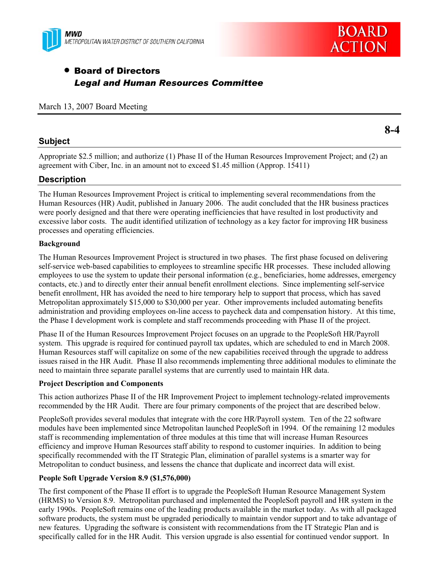



# • Board of Directors *Legal and Human Resources Committee*

#### March 13, 2007 Board Meeting

## **Subject**

Appropriate \$2.5 million; and authorize (1) Phase II of the Human Resources Improvement Project; and (2) an agreement with Ciber, Inc. in an amount not to exceed \$1.45 million (Approp. 15411)

## **Description**

The Human Resources Improvement Project is critical to implementing several recommendations from the Human Resources (HR) Audit, published in January 2006. The audit concluded that the HR business practices were poorly designed and that there were operating inefficiencies that have resulted in lost productivity and excessive labor costs. The audit identified utilization of technology as a key factor for improving HR business processes and operating efficiencies.

### **Background**

The Human Resources Improvement Project is structured in two phases. The first phase focused on delivering self-service web-based capabilities to employees to streamline specific HR processes. These included allowing employees to use the system to update their personal information (e.g., beneficiaries, home addresses, emergency contacts, etc.) and to directly enter their annual benefit enrollment elections. Since implementing self-service benefit enrollment, HR has avoided the need to hire temporary help to support that process, which has saved Metropolitan approximately \$15,000 to \$30,000 per year. Other improvements included automating benefits administration and providing employees on-line access to paycheck data and compensation history. At this time, the Phase I development work is complete and staff recommends proceeding with Phase II of the project.

Phase II of the Human Resources Improvement Project focuses on an upgrade to the PeopleSoft HR/Payroll system. This upgrade is required for continued payroll tax updates, which are scheduled to end in March 2008. Human Resources staff will capitalize on some of the new capabilities received through the upgrade to address issues raised in the HR Audit. Phase II also recommends implementing three additional modules to eliminate the need to maintain three separate parallel systems that are currently used to maintain HR data.

#### **Project Description and Components**

This action authorizes Phase II of the HR Improvement Project to implement technology-related improvements recommended by the HR Audit. There are four primary components of the project that are described below.

PeopleSoft provides several modules that integrate with the core HR/Payroll system. Ten of the 22 software modules have been implemented since Metropolitan launched PeopleSoft in 1994. Of the remaining 12 modules staff is recommending implementation of three modules at this time that will increase Human Resources efficiency and improve Human Resources staff ability to respond to customer inquiries. In addition to being specifically recommended with the IT Strategic Plan, elimination of parallel systems is a smarter way for Metropolitan to conduct business, and lessens the chance that duplicate and incorrect data will exist.

## **People Soft Upgrade Version 8.9 (\$1,576,000)**

The first component of the Phase II effort is to upgrade the PeopleSoft Human Resource Management System (HRMS) to Version 8.9. Metropolitan purchased and implemented the PeopleSoft payroll and HR system in the early 1990s. PeopleSoft remains one of the leading products available in the market today. As with all packaged software products, the system must be upgraded periodically to maintain vendor support and to take advantage of new features. Upgrading the software is consistent with recommendations from the IT Strategic Plan and is specifically called for in the HR Audit. This version upgrade is also essential for continued vendor support. In

**8-4**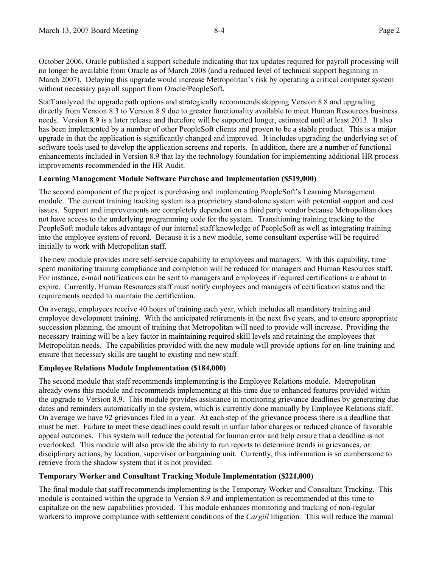October 2006, Oracle published a support schedule indicating that tax updates required for payroll processing will no longer be available from Oracle as of March 2008 (and a reduced level of technical support beginning in March 2007). Delaying this upgrade would increase Metropolitan's risk by operating a critical computer system without necessary payroll support from Oracle/PeopleSoft.

Staff analyzed the upgrade path options and strategically recommends skipping Version 8.8 and upgrading directly from Version 8.3 to Version 8.9 due to greater functionality available to meet Human Resources business needs. Version 8.9 is a later release and therefore will be supported longer, estimated until at least 2013. It also has been implemented by a number of other PeopleSoft clients and proven to be a stable product. This is a major upgrade in that the application is significantly changed and improved. It includes upgrading the underlying set of software tools used to develop the application screens and reports. In addition, there are a number of functional enhancements included in Version 8.9 that lay the technology foundation for implementing additional HR process improvements recommended in the HR Audit.

#### **Learning Management Module Software Purchase and Implementation (\$519,000)**

The second component of the project is purchasing and implementing PeopleSoft's Learning Management module. The current training tracking system is a proprietary stand-alone system with potential support and cost issues. Support and improvements are completely dependent on a third party vendor because Metropolitan does not have access to the underlying programming code for the system. Transitioning training tracking to the PeopleSoft module takes advantage of our internal staff knowledge of PeopleSoft as well as integrating training into the employee system of record. Because it is a new module, some consultant expertise will be required initially to work with Metropolitan staff.

The new module provides more self-service capability to employees and managers. With this capability, time spent monitoring training compliance and completion will be reduced for managers and Human Resources staff. For instance, e-mail notifications can be sent to managers and employees if required certifications are about to expire. Currently, Human Resources staff must notify employees and managers of certification status and the requirements needed to maintain the certification.

On average, employees receive 40 hours of training each year, which includes all mandatory training and employee development training. With the anticipated retirements in the next five years, and to ensure appropriate succession planning, the amount of training that Metropolitan will need to provide will increase. Providing the necessary training will be a key factor in maintaining required skill levels and retaining the employees that Metropolitan needs. The capabilities provided with the new module will provide options for on-line training and ensure that necessary skills are taught to existing and new staff.

#### **Employee Relations Module Implementation (\$184,000)**

The second module that staff recommends implementing is the Employee Relations module. Metropolitan already owns this module and recommends implementing at this time due to enhanced features provided within the upgrade to Version 8.9. This module provides assistance in monitoring grievance deadlines by generating due dates and reminders automatically in the system, which is currently done manually by Employee Relations staff. On average we have 92 grievances filed in a year. At each step of the grievance process there is a deadline that must be met. Failure to meet these deadlines could result in unfair labor charges or reduced chance of favorable appeal outcomes. This system will reduce the potential for human error and help ensure that a deadline is not overlooked. This module will also provide the ability to run reports to determine trends in grievances, or disciplinary actions, by location, supervisor or bargaining unit. Currently, this information is so cumbersome to retrieve from the shadow system that it is not provided.

## **Temporary Worker and Consultant Tracking Module Implementation (\$221,000)**

The final module that staff recommends implementing is the Temporary Worker and Consultant Tracking. This module is contained within the upgrade to Version 8.9 and implementation is recommended at this time to capitalize on the new capabilities provided. This module enhances monitoring and tracking of non-regular workers to improve compliance with settlement conditions of the *Cargill* litigation. This will reduce the manual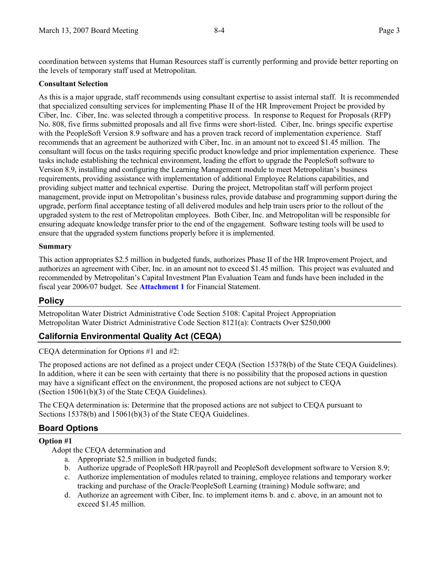coordination between systems that Human Resources staff is currently performing and provide better reporting on the levels of temporary staff used at Metropolitan.

#### **Consultant Selection**

As this is a major upgrade, staff recommends using consultant expertise to assist internal staff. It is recommended that specialized consulting services for implementing Phase II of the HR Improvement Project be provided by Ciber, Inc. Ciber, Inc. was selected through a competitive process. In response to Request for Proposals (RFP) No. 808, five firms submitted proposals and all five firms were short-listed. Ciber, Inc. brings specific expertise with the PeopleSoft Version 8.9 software and has a proven track record of implementation experience. Staff recommends that an agreement be authorized with Ciber, Inc. in an amount not to exceed \$1.45 million. The consultant will focus on the tasks requiring specific product knowledge and prior implementation experience. These tasks include establishing the technical environment, leading the effort to upgrade the PeopleSoft software to Version 8.9, installing and configuring the Learning Management module to meet Metropolitan's business requirements, providing assistance with implementation of additional Employee Relations capabilities, and providing subject matter and technical expertise. During the project, Metropolitan staff will perform project management, provide input on Metropolitan's business rules, provide database and programming support during the upgrade, perform final acceptance testing of all delivered modules and help train users prior to the rollout of the upgraded system to the rest of Metropolitan employees. Both Ciber, Inc. and Metropolitan will be responsible for ensuring adequate knowledge transfer prior to the end of the engagement. Software testing tools will be used to ensure that the upgraded system functions properly before it is implemented.

### **Summary**

This action appropriates \$2.5 million in budgeted funds, authorizes Phase II of the HR Improvement Project, and authorizes an agreement with Ciber, Inc. in an amount not to exceed \$1.45 million. This project was evaluated and recommended by Metropolitan's Capital Investment Plan Evaluation Team and funds have been included in the fiscal year 2006/07 budget. See **Attachment 1** for Financial Statement.

## **Policy**

Metropolitan Water District Administrative Code Section 5108: Capital Project Appropriation Metropolitan Water District Administrative Code Section 8121(a): Contracts Over \$250,000

## **California Environmental Quality Act (CEQA)**

CEQA determination for Options #1 and #2:

The proposed actions are not defined as a project under CEQA (Section 15378(b) of the State CEQA Guidelines). In addition, where it can be seen with certainty that there is no possibility that the proposed actions in question may have a significant effect on the environment, the proposed actions are not subject to CEQA (Section 15061(b)(3) of the State CEQA Guidelines).

The CEQA determination is: Determine that the proposed actions are not subject to CEQA pursuant to Sections 15378(b) and 15061(b)(3) of the State CEQA Guidelines.

## **Board Options**

## **Option #1**

Adopt the CEQA determination and

- a. Appropriate \$2.5 million in budgeted funds;
- b. Authorize upgrade of PeopleSoft HR/payroll and PeopleSoft development software to Version 8.9;
- c. Authorize implementation of modules related to training, employee relations and temporary worker tracking and purchase of the Oracle/PeopleSoft Learning (training) Module software; and
- d. Authorize an agreement with Ciber, Inc. to implement items b. and c. above, in an amount not to exceed \$1.45 million.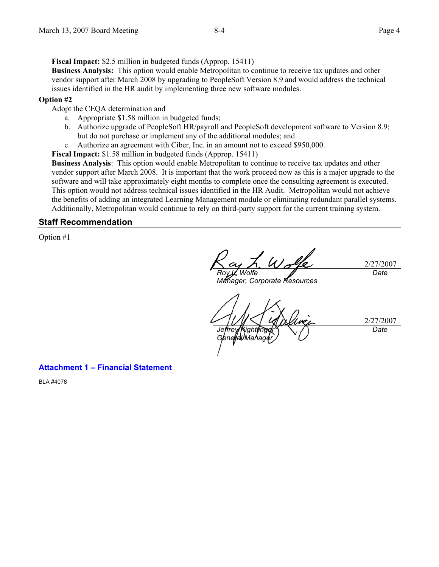**Fiscal Impact:** \$2.5 million in budgeted funds (Approp. 15411)

**Business Analysis:** This option would enable Metropolitan to continue to receive tax updates and other vendor support after March 2008 by upgrading to PeopleSoft Version 8.9 and would address the technical issues identified in the HR audit by implementing three new software modules.

#### **Option #2**

Adopt the CEQA determination and

- a. Appropriate \$1.58 million in budgeted funds;
- b. Authorize upgrade of PeopleSoft HR/payroll and PeopleSoft development software to Version 8.9; but do not purchase or implement any of the additional modules; and
- c. Authorize an agreement with Ciber, Inc. in an amount not to exceed \$950,000.

**Fiscal Impact:** \$1.58 million in budgeted funds (Approp. 15411)

**Business Analysis**: This option would enable Metropolitan to continue to receive tax updates and other vendor support after March 2008. It is important that the work proceed now as this is a major upgrade to the software and will take approximately eight months to complete once the consulting agreement is executed. This option would not address technical issues identified in the HR Audit. Metropolitan would not achieve the benefits of adding an integrated Learning Management module or eliminating redundant parallel systems. Additionally, Metropolitan would continue to rely on third-party support for the current training system.

## **Staff Recommendation**

Option #1

2/27/2007 *Roy L. Wolfe Date* 

*Manager, Corporate Resources* 

*Jeffrey Kightlinger General Manager* 

2/27/2007 *Date* 

**Attachment 1 – Financial Statement** 

BLA #4078